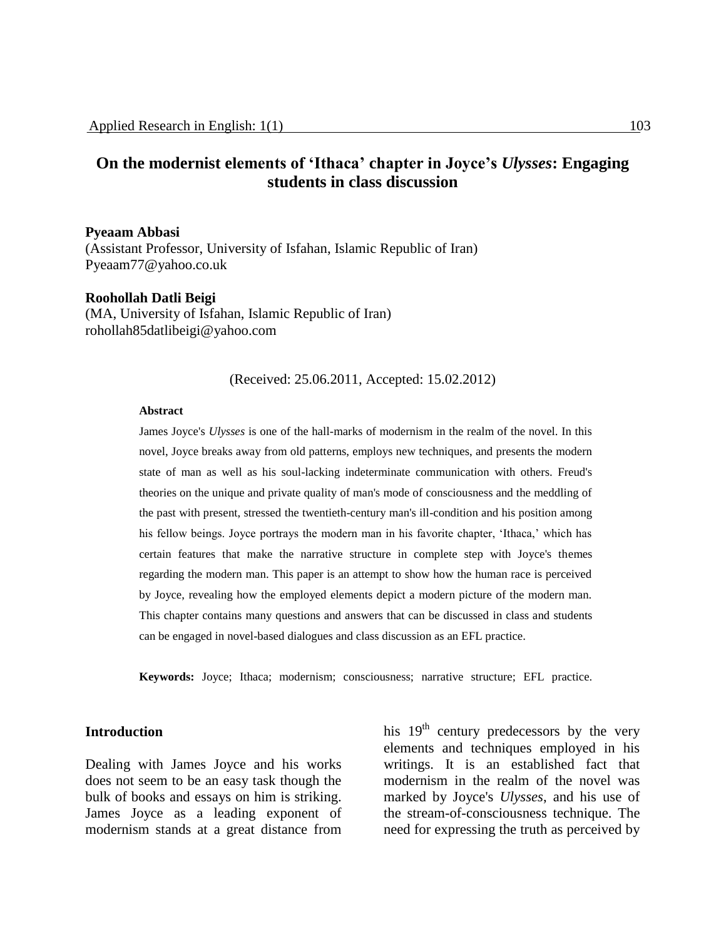# **On the modernist elements of 'Ithaca' chapter in Joyce's** *Ulysses***: Engaging students in class discussion**

#### **Pyeaam Abbasi**

(Assistant Professor, University of Isfahan, Islamic Republic of Iran) Pyeaam77@yahoo.co.uk

#### **Roohollah Datli Beigi**

(MA, University of Isfahan, Islamic Republic of Iran) rohollah85datlibeigi@yahoo.com

## (Received: 25.06.2011, Accepted: 15.02.2012)

### **Abstract**

James Joyce's *Ulysses* is one of the hall-marks of modernism in the realm of the novel. In this novel, Joyce breaks away from old patterns, employs new techniques, and presents the modern state of man as well as his soul-lacking indeterminate communication with others. Freud's theories on the unique and private quality of man's mode of consciousness and the meddling of the past with present, stressed the twentieth-century man's ill-condition and his position among his fellow beings. Joyce portrays the modern man in his favorite chapter, 'Ithaca,' which has certain features that make the narrative structure in complete step with Joyce's themes regarding the modern man. This paper is an attempt to show how the human race is perceived by Joyce, revealing how the employed elements depict a modern picture of the modern man. This chapter contains many questions and answers that can be discussed in class and students can be engaged in novel-based dialogues and class discussion as an EFL practice.

**Keywords:** Joyce; Ithaca; modernism; consciousness; narrative structure; EFL practice.

## **Introduction**

Dealing with James Joyce and his works does not seem to be an easy task though the bulk of books and essays on him is striking. James Joyce as a leading exponent of modernism stands at a great distance from

his  $19<sup>th</sup>$  century predecessors by the very elements and techniques employed in his writings. It is an established fact that modernism in the realm of the novel was marked by Joyce's *Ulysses*, and his use of the stream-of-consciousness technique. The need for expressing the truth as perceived by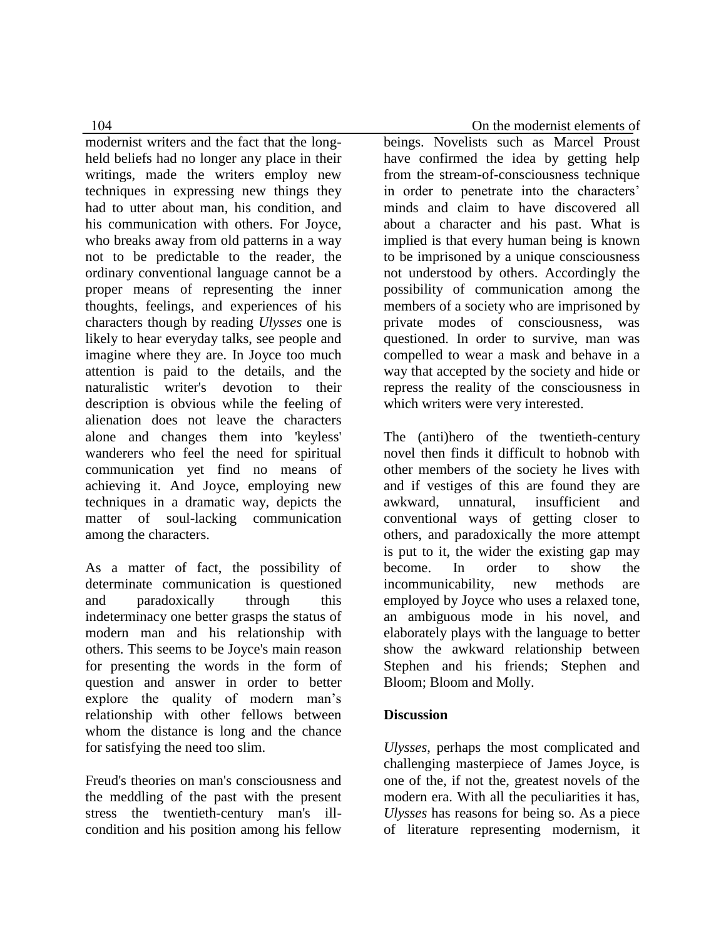modernist writers and the fact that the longheld beliefs had no longer any place in their writings, made the writers employ new techniques in expressing new things they had to utter about man, his condition, and his communication with others. For Joyce, who breaks away from old patterns in a way not to be predictable to the reader, the ordinary conventional language cannot be a proper means of representing the inner thoughts, feelings, and experiences of his characters though by reading *Ulysses* one is likely to hear everyday talks, see people and imagine where they are. In Joyce too much attention is paid to the details, and the naturalistic writer's devotion to their description is obvious while the feeling of alienation does not leave the characters alone and changes them into 'keyless' wanderers who feel the need for spiritual communication yet find no means of achieving it. And Joyce, employing new techniques in a dramatic way, depicts the matter of soul-lacking communication among the characters.

As a matter of fact, the possibility of determinate communication is questioned and paradoxically through this indeterminacy one better grasps the status of modern man and his relationship with others. This seems to be Joyce's main reason for presenting the words in the form of question and answer in order to better explore the quality of modern man's relationship with other fellows between whom the distance is long and the chance for satisfying the need too slim.

Freud's theories on man's consciousness and the meddling of the past with the present stress the twentieth-century man's illcondition and his position among his fellow

104 On the modernist elements of

beings. Novelists such as Marcel Proust have confirmed the idea by getting help from the stream-of-consciousness technique in order to penetrate into the characters' minds and claim to have discovered all about a character and his past. What is implied is that every human being is known to be imprisoned by a unique consciousness not understood by others. Accordingly the possibility of communication among the members of a society who are imprisoned by private modes of consciousness, was questioned. In order to survive, man was compelled to wear a mask and behave in a way that accepted by the society and hide or repress the reality of the consciousness in which writers were very interested.

The (anti)hero of the twentieth-century novel then finds it difficult to hobnob with other members of the society he lives with and if vestiges of this are found they are awkward, unnatural, insufficient and conventional ways of getting closer to others, and paradoxically the more attempt is put to it, the wider the existing gap may become. In order to show the incommunicability, new methods are employed by Joyce who uses a relaxed tone, an ambiguous mode in his novel, and elaborately plays with the language to better show the awkward relationship between Stephen and his friends; Stephen and Bloom; Bloom and Molly.

# **Discussion**

*Ulysses*, perhaps the most complicated and challenging masterpiece of James Joyce, is one of the, if not the, greatest novels of the modern era. With all the peculiarities it has, *Ulysses* has reasons for being so. As a piece of literature representing modernism, it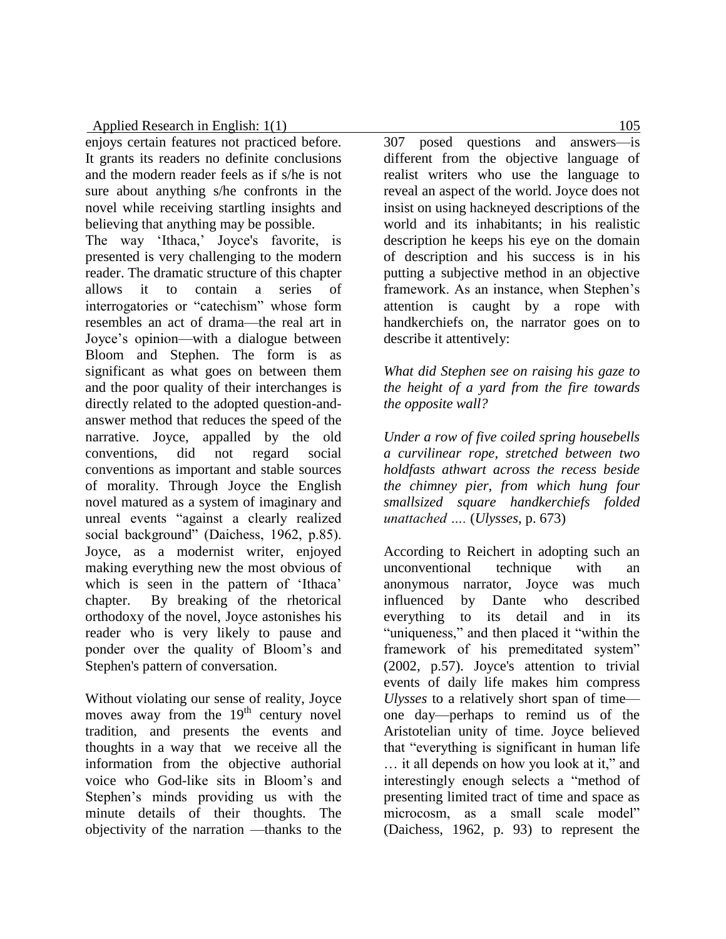enjoys certain features not practiced before. It grants its readers no definite conclusions and the modern reader feels as if s/he is not sure about anything s/he confronts in the novel while receiving startling insights and believing that anything may be possible.

The way 'Ithaca,' Joyce's favorite, is presented is very challenging to the modern reader. The dramatic structure of this chapter allows it to contain a series of interrogatories or "catechism" whose form resembles an act of drama—the real art in Joyce's opinion—with a dialogue between Bloom and Stephen. The form is as significant as what goes on between them and the poor quality of their interchanges is directly related to the adopted question-andanswer method that reduces the speed of the narrative. Joyce, appalled by the old conventions, did not regard social conventions as important and stable sources of morality. Through Joyce the English novel matured as a system of imaginary and unreal events "against a clearly realized social background" (Daichess, 1962, p.85). Joyce, as a modernist writer, enjoyed making everything new the most obvious of which is seen in the pattern of 'Ithaca' chapter. By breaking of the rhetorical orthodoxy of the novel, Joyce astonishes his reader who is very likely to pause and ponder over the quality of Bloom's and Stephen's pattern of conversation.

Without violating our sense of reality, Joyce moves away from the  $19<sup>th</sup>$  century novel tradition, and presents the events and thoughts in a way that we receive all the information from the objective authorial voice who God-like sits in Bloom's and Stephen's minds providing us with the minute details of their thoughts. The objectivity of the narration —thanks to the

307 posed questions and answers—is different from the objective language of realist writers who use the language to reveal an aspect of the world. Joyce does not insist on using hackneyed descriptions of the world and its inhabitants; in his realistic description he keeps his eye on the domain of description and his success is in his putting a subjective method in an objective framework. As an instance, when Stephen's attention is caught by a rope with handkerchiefs on, the narrator goes on to describe it attentively:

*What did Stephen see on raising his gaze to the height of a yard from the fire towards the opposite wall?*

*Under a row of five coiled spring housebells a curvilinear rope, stretched between two holdfasts athwart across the recess beside the chimney pier, from which hung four smallsized square handkerchiefs folded unattached ….* (*Ulysses*, p. 673)

According to Reichert in adopting such an unconventional technique with an anonymous narrator, Joyce was much influenced by Dante who described everything to its detail and in its "uniqueness," and then placed it "within the framework of his premeditated system" (2002, p.57). Joyce's attention to trivial events of daily life makes him compress *Ulysses* to a relatively short span of time one day—perhaps to remind us of the Aristotelian unity of time. Joyce believed that "everything is significant in human life … it all depends on how you look at it," and interestingly enough selects a "method of presenting limited tract of time and space as microcosm, as a small scale model" (Daichess, 1962, p. 93) to represent the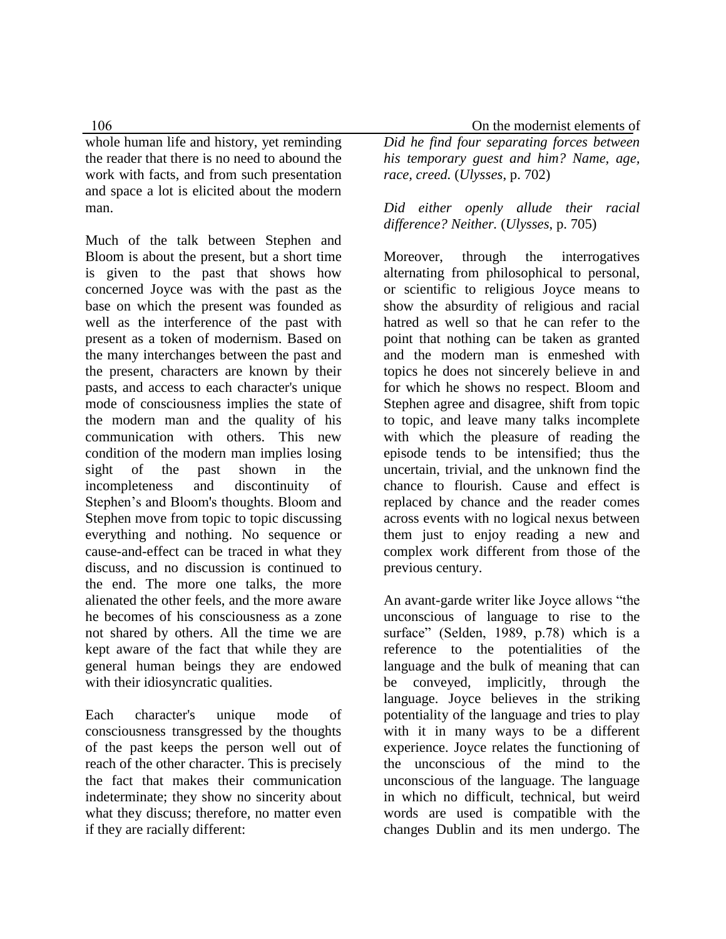whole human life and history, yet reminding the reader that there is no need to abound the work with facts, and from such presentation and space a lot is elicited about the modern man.

Much of the talk between Stephen and Bloom is about the present, but a short time is given to the past that shows how concerned Joyce was with the past as the base on which the present was founded as well as the interference of the past with present as a token of modernism. Based on the many interchanges between the past and the present, characters are known by their pasts, and access to each character's unique mode of consciousness implies the state of the modern man and the quality of his communication with others. This new condition of the modern man implies losing sight of the past shown in the incompleteness and discontinuity of Stephen's and Bloom's thoughts. Bloom and Stephen move from topic to topic discussing everything and nothing. No sequence or cause-and-effect can be traced in what they discuss, and no discussion is continued to the end. The more one talks, the more alienated the other feels, and the more aware he becomes of his consciousness as a zone not shared by others. All the time we are kept aware of the fact that while they are general human beings they are endowed with their idiosyncratic qualities.

Each character's unique mode of consciousness transgressed by the thoughts of the past keeps the person well out of reach of the other character. This is precisely the fact that makes their communication indeterminate; they show no sincerity about what they discuss; therefore, no matter even if they are racially different:

106 On the modernist elements of *Did he find four separating forces between his temporary guest and him? Name, age, race, creed.* (*Ulysses*, p. 702)

> *Did either openly allude their racial difference? Neither.* (*Ulysses*, p. 705)

Moreover, through the interrogatives alternating from philosophical to personal, or scientific to religious Joyce means to show the absurdity of religious and racial hatred as well so that he can refer to the point that nothing can be taken as granted and the modern man is enmeshed with topics he does not sincerely believe in and for which he shows no respect. Bloom and Stephen agree and disagree, shift from topic to topic, and leave many talks incomplete with which the pleasure of reading the episode tends to be intensified; thus the uncertain, trivial, and the unknown find the chance to flourish. Cause and effect is replaced by chance and the reader comes across events with no logical nexus between them just to enjoy reading a new and complex work different from those of the previous century.

An avant-garde writer like Joyce allows "the unconscious of language to rise to the surface" (Selden, 1989, p.78) which is a reference to the potentialities of the language and the bulk of meaning that can be conveyed, implicitly, through the language. Joyce believes in the striking potentiality of the language and tries to play with it in many ways to be a different experience. Joyce relates the functioning of the unconscious of the mind to the unconscious of the language. The language in which no difficult, technical, but weird words are used is compatible with the changes Dublin and its men undergo. The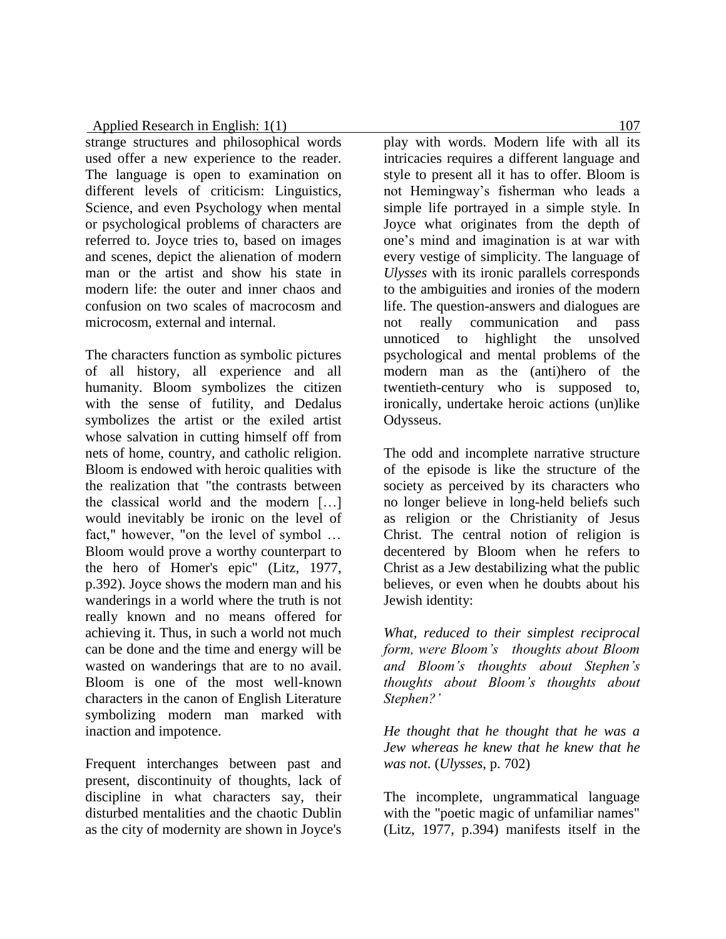strange structures and philosophical words used offer a new experience to the reader. The language is open to examination on different levels of criticism: Linguistics, Science, and even Psychology when mental or psychological problems of characters are referred to. Joyce tries to, based on images and scenes, depict the alienation of modern man or the artist and show his state in modern life: the outer and inner chaos and confusion on two scales of macrocosm and microcosm, external and internal.

The characters function as symbolic pictures of all history, all experience and all humanity. Bloom symbolizes the citizen with the sense of futility, and Dedalus symbolizes the artist or the exiled artist whose salvation in cutting himself off from nets of home, country, and catholic religion. Bloom is endowed with heroic qualities with the realization that "the contrasts between the classical world and the modern […] would inevitably be ironic on the level of fact," however, "on the level of symbol … Bloom would prove a worthy counterpart to the hero of Homer's epic" (Litz, 1977, p.392). Joyce shows the modern man and his wanderings in a world where the truth is not really known and no means offered for achieving it. Thus, in such a world not much can be done and the time and energy will be wasted on wanderings that are to no avail. Bloom is one of the most well-known characters in the canon of English Literature symbolizing modern man marked with inaction and impotence.

Frequent interchanges between past and present, discontinuity of thoughts, lack of discipline in what characters say, their disturbed mentalities and the chaotic Dublin as the city of modernity are shown in Joyce's

play with words. Modern life with all its intricacies requires a different language and style to present all it has to offer. Bloom is not Hemingway's fisherman who leads a simple life portrayed in a simple style. In Joyce what originates from the depth of one's mind and imagination is at war with every vestige of simplicity. The language of *Ulysses* with its ironic parallels corresponds to the ambiguities and ironies of the modern life. The question-answers and dialogues are not really communication and pass unnoticed to highlight the unsolved psychological and mental problems of the modern man as the (anti)hero of the twentieth-century who is supposed to, ironically, undertake heroic actions (un)like Odysseus.

The odd and incomplete narrative structure of the episode is like the structure of the society as perceived by its characters who no longer believe in long-held beliefs such as religion or the Christianity of Jesus Christ. The central notion of religion is decentered by Bloom when he refers to Christ as a Jew destabilizing what the public believes, or even when he doubts about his Jewish identity:

*What, reduced to their simplest reciprocal form, were Bloom's thoughts about Bloom and Bloom's thoughts about Stephen's thoughts about Bloom's thoughts about Stephen?'*

*He thought that he thought that he was a Jew whereas he knew that he knew that he was not.* (*Ulysses*, p. 702)

The incomplete, ungrammatical language with the "poetic magic of unfamiliar names" (Litz, 1977, p.394) manifests itself in the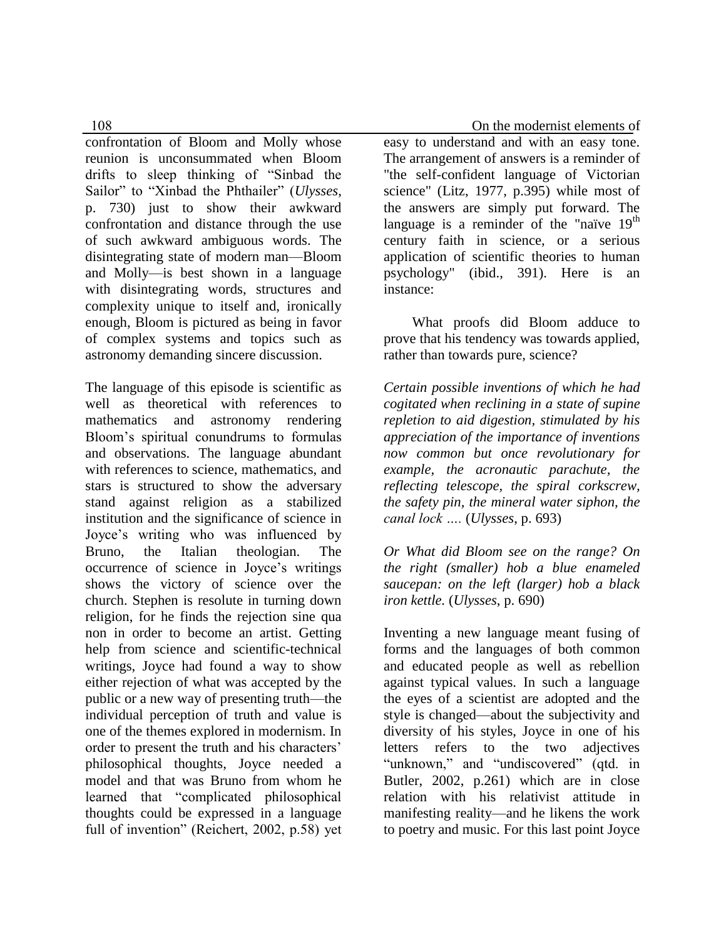confrontation of Bloom and Molly whose reunion is unconsummated when Bloom drifts to sleep thinking of "Sinbad the Sailor" to "Xinbad the Phthailer" (*Ulysses*, p. 730) just to show their awkward confrontation and distance through the use of such awkward ambiguous words. The disintegrating state of modern man—Bloom and Molly—is best shown in a language with disintegrating words, structures and complexity unique to itself and, ironically enough, Bloom is pictured as being in favor of complex systems and topics such as astronomy demanding sincere discussion.

The language of this episode is scientific as well as theoretical with references to mathematics and astronomy rendering Bloom's spiritual conundrums to formulas and observations. The language abundant with references to science, mathematics, and stars is structured to show the adversary stand against religion as a stabilized institution and the significance of science in Joyce's writing who was influenced by Bruno, the Italian theologian. The occurrence of science in Joyce's writings shows the victory of science over the church. Stephen is resolute in turning down religion, for he finds the rejection sine qua non in order to become an artist. Getting help from science and scientific-technical writings, Joyce had found a way to show either rejection of what was accepted by the public or a new way of presenting truth—the individual perception of truth and value is one of the themes explored in modernism. In order to present the truth and his characters' philosophical thoughts, Joyce needed a model and that was Bruno from whom he learned that "complicated philosophical thoughts could be expressed in a language full of invention" (Reichert, 2002, p.58) yet

108 On the modernist elements of

easy to understand and with an easy tone. The arrangement of answers is a reminder of "the self-confident language of Victorian science" (Litz, 1977, p.395) while most of the answers are simply put forward. The language is a reminder of the "naïve  $19<sup>th</sup>$ century faith in science, or a serious application of scientific theories to human psychology" (ibid., 391). Here is an instance:

 What proofs did Bloom adduce to prove that his tendency was towards applied, rather than towards pure, science?

*Certain possible inventions of which he had cogitated when reclining in a state of supine repletion to aid digestion, stimulated by his appreciation of the importance of inventions now common but once revolutionary for example, the acronautic parachute, the reflecting telescope, the spiral corkscrew, the safety pin, the mineral water siphon, the canal lock ….* (*Ulysses*, p. 693)

*Or What did Bloom see on the range? On the right (smaller) hob a blue enameled saucepan: on the left (larger) hob a black iron kettle.* (*Ulysses*, p. 690)

Inventing a new language meant fusing of forms and the languages of both common and educated people as well as rebellion against typical values. In such a language the eyes of a scientist are adopted and the style is changed—about the subjectivity and diversity of his styles, Joyce in one of his letters refers to the two adjectives "unknown," and "undiscovered" (qtd. in Butler, 2002, p.261) which are in close relation with his relativist attitude in manifesting reality—and he likens the work to poetry and music. For this last point Joyce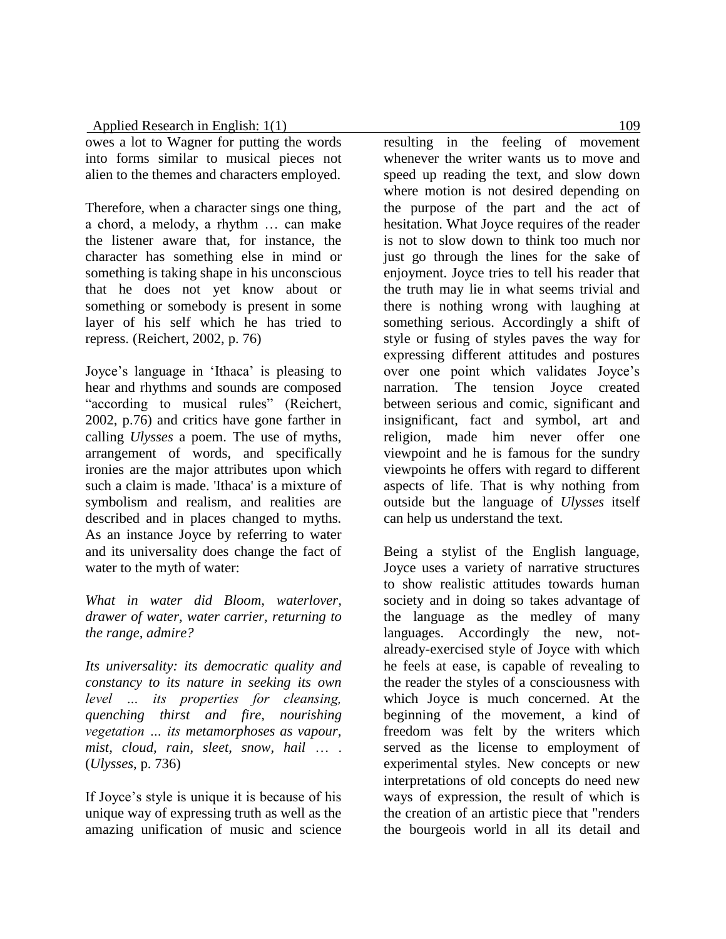owes a lot to Wagner for putting the words into forms similar to musical pieces not alien to the themes and characters employed.

Therefore, when a character sings one thing, a chord, a melody, a rhythm … can make the listener aware that, for instance, the character has something else in mind or something is taking shape in his unconscious that he does not yet know about or something or somebody is present in some layer of his self which he has tried to repress. (Reichert, 2002, p. 76)

Joyce's language in 'Ithaca' is pleasing to hear and rhythms and sounds are composed "according to musical rules" (Reichert, 2002, p.76) and critics have gone farther in calling *Ulysses* a poem. The use of myths, arrangement of words, and specifically ironies are the major attributes upon which such a claim is made. 'Ithaca' is a mixture of symbolism and realism, and realities are described and in places changed to myths. As an instance Joyce by referring to water and its universality does change the fact of water to the myth of water:

*What in water did Bloom, waterlover, drawer of water, water carrier, returning to the range, admire?*

*Its universality: its democratic quality and constancy to its nature in seeking its own level … its properties for cleansing, quenching thirst and fire, nourishing vegetation … its metamorphoses as vapour, mist, cloud, rain, sleet, snow, hail* … . (*Ulysses*, p. 736)

If Joyce's style is unique it is because of his unique way of expressing truth as well as the amazing unification of music and science

resulting in the feeling of movement whenever the writer wants us to move and speed up reading the text, and slow down where motion is not desired depending on the purpose of the part and the act of hesitation. What Joyce requires of the reader is not to slow down to think too much nor just go through the lines for the sake of enjoyment. Joyce tries to tell his reader that the truth may lie in what seems trivial and there is nothing wrong with laughing at something serious. Accordingly a shift of style or fusing of styles paves the way for expressing different attitudes and postures over one point which validates Joyce's narration. The tension Joyce created between serious and comic, significant and insignificant, fact and symbol, art and religion, made him never offer one viewpoint and he is famous for the sundry viewpoints he offers with regard to different aspects of life. That is why nothing from outside but the language of *Ulysses* itself can help us understand the text.

Being a stylist of the English language, Joyce uses a variety of narrative structures to show realistic attitudes towards human society and in doing so takes advantage of the language as the medley of many languages. Accordingly the new, notalready-exercised style of Joyce with which he feels at ease, is capable of revealing to the reader the styles of a consciousness with which Joyce is much concerned. At the beginning of the movement, a kind of freedom was felt by the writers which served as the license to employment of experimental styles. New concepts or new interpretations of old concepts do need new ways of expression, the result of which is the creation of an artistic piece that "renders the bourgeois world in all its detail and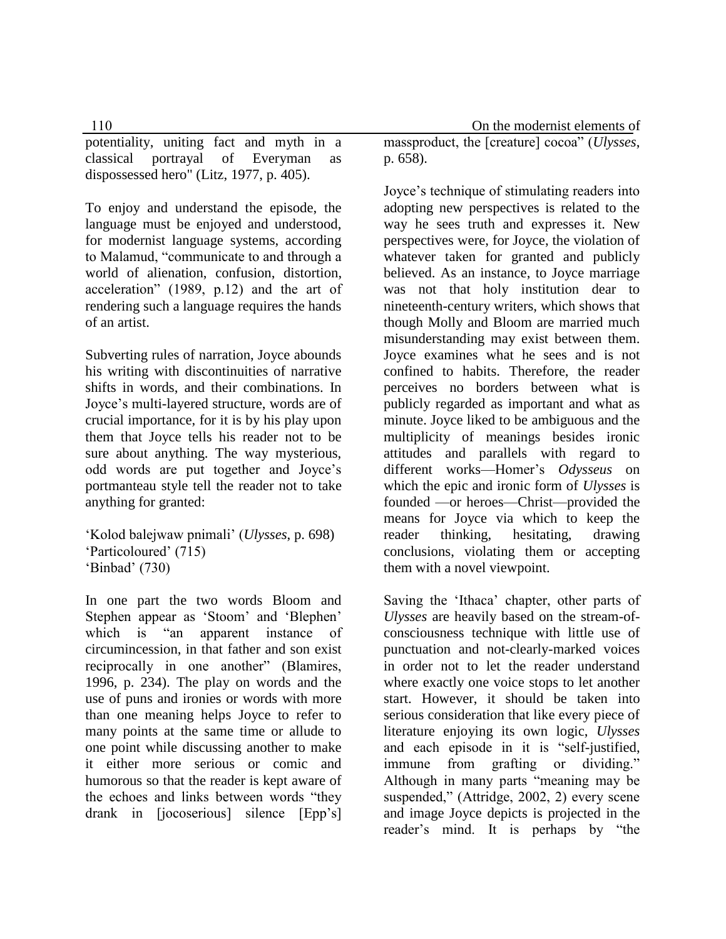potentiality, uniting fact and myth in a classical portrayal of Everyman as dispossessed hero" (Litz, 1977, p. 405).

To enjoy and understand the episode, the language must be enjoyed and understood, for modernist language systems, according to Malamud, "communicate to and through a world of alienation, confusion, distortion, acceleration" (1989, p.12) and the art of rendering such a language requires the hands of an artist.

Subverting rules of narration, Joyce abounds his writing with discontinuities of narrative shifts in words, and their combinations. In Joyce's multi-layered structure, words are of crucial importance, for it is by his play upon them that Joyce tells his reader not to be sure about anything. The way mysterious, odd words are put together and Joyce's portmanteau style tell the reader not to take anything for granted:

```
'Kolod balejwaw pnimali' (Ulysses, p. 698)
'Particoloured' (715)
'Binbad' (730)
```
In one part the two words Bloom and Stephen appear as 'Stoom' and 'Blephen' which is "an apparent instance of circumincession, in that father and son exist reciprocally in one another" (Blamires, 1996, p. 234). The play on words and the use of puns and ironies or words with more than one meaning helps Joyce to refer to many points at the same time or allude to one point while discussing another to make it either more serious or comic and humorous so that the reader is kept aware of the echoes and links between words "they drank in [jocoserious] silence [Epp's]

110 On the modernist elements of massproduct, the [creature] cocoa" (*Ulysses*, p. 658).

> Joyce's technique of stimulating readers into adopting new perspectives is related to the way he sees truth and expresses it. New perspectives were, for Joyce, the violation of whatever taken for granted and publicly believed. As an instance, to Joyce marriage was not that holy institution dear to nineteenth-century writers, which shows that though Molly and Bloom are married much misunderstanding may exist between them. Joyce examines what he sees and is not confined to habits. Therefore, the reader perceives no borders between what is publicly regarded as important and what as minute. Joyce liked to be ambiguous and the multiplicity of meanings besides ironic attitudes and parallels with regard to different works—Homer's *Odysseus* on which the epic and ironic form of *Ulysses* is founded —or heroes—Christ—provided the means for Joyce via which to keep the reader thinking, hesitating, drawing conclusions, violating them or accepting them with a novel viewpoint.

> Saving the 'Ithaca' chapter, other parts of *Ulysses* are heavily based on the stream-ofconsciousness technique with little use of punctuation and not-clearly-marked voices in order not to let the reader understand where exactly one voice stops to let another start. However, it should be taken into serious consideration that like every piece of literature enjoying its own logic, *Ulysses* and each episode in it is "self-justified, immune from grafting or dividing." Although in many parts "meaning may be suspended," (Attridge, 2002, 2) every scene and image Joyce depicts is projected in the reader's mind. It is perhaps by "the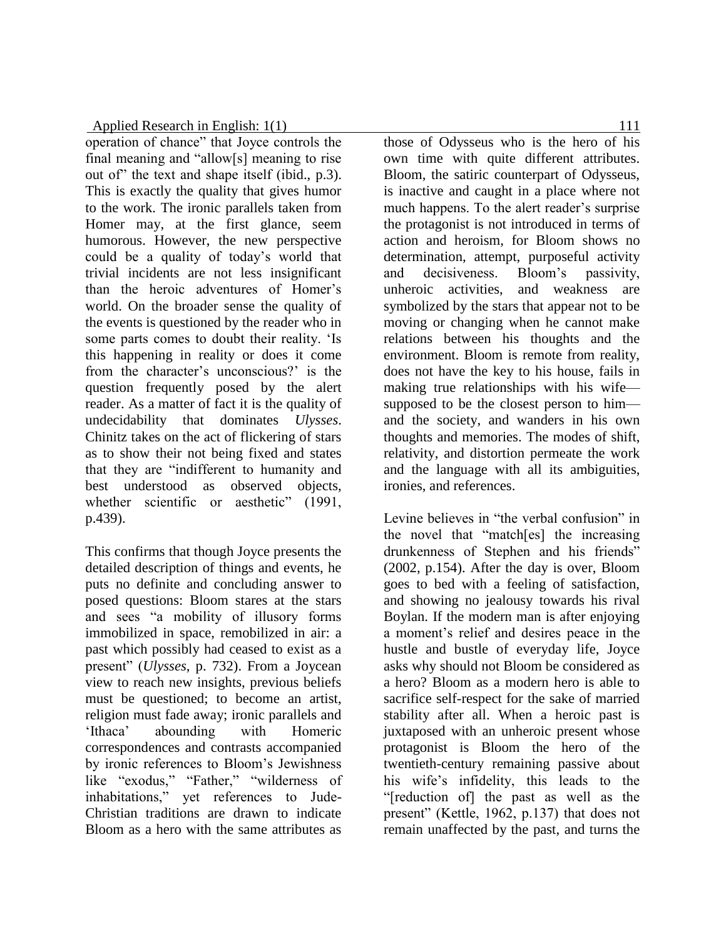operation of chance" that Joyce controls the final meaning and "allow[s] meaning to rise out of" the text and shape itself (ibid., p.3). This is exactly the quality that gives humor to the work. The ironic parallels taken from Homer may, at the first glance, seem humorous. However, the new perspective could be a quality of today's world that trivial incidents are not less insignificant than the heroic adventures of Homer's world. On the broader sense the quality of the events is questioned by the reader who in some parts comes to doubt their reality. 'Is this happening in reality or does it come from the character's unconscious?' is the question frequently posed by the alert reader. As a matter of fact it is the quality of undecidability that dominates *Ulysses*. Chinitz takes on the act of flickering of stars as to show their not being fixed and states that they are "indifferent to humanity and best understood as observed objects, whether scientific or aesthetic" (1991, p.439).

This confirms that though Joyce presents the detailed description of things and events, he puts no definite and concluding answer to posed questions: Bloom stares at the stars and sees "a mobility of illusory forms immobilized in space, remobilized in air: a past which possibly had ceased to exist as a present" (*Ulysses*, p. 732). From a Joycean view to reach new insights, previous beliefs must be questioned; to become an artist, religion must fade away; ironic parallels and 'Ithaca' abounding with Homeric correspondences and contrasts accompanied by ironic references to Bloom's Jewishness like "exodus," "Father," "wilderness of inhabitations," yet references to Jude-Christian traditions are drawn to indicate Bloom as a hero with the same attributes as

those of Odysseus who is the hero of his own time with quite different attributes. Bloom, the satiric counterpart of Odysseus, is inactive and caught in a place where not much happens. To the alert reader's surprise the protagonist is not introduced in terms of action and heroism, for Bloom shows no determination, attempt, purposeful activity and decisiveness. Bloom's passivity, unheroic activities, and weakness are symbolized by the stars that appear not to be moving or changing when he cannot make relations between his thoughts and the environment. Bloom is remote from reality, does not have the key to his house, fails in making true relationships with his wife supposed to be the closest person to him and the society, and wanders in his own thoughts and memories. The modes of shift, relativity, and distortion permeate the work and the language with all its ambiguities, ironies, and references.

Levine believes in "the verbal confusion" in the novel that "match[es] the increasing drunkenness of Stephen and his friends" (2002, p.154). After the day is over, Bloom goes to bed with a feeling of satisfaction, and showing no jealousy towards his rival Boylan. If the modern man is after enjoying a moment's relief and desires peace in the hustle and bustle of everyday life, Joyce asks why should not Bloom be considered as a hero? Bloom as a modern hero is able to sacrifice self-respect for the sake of married stability after all. When a heroic past is juxtaposed with an unheroic present whose protagonist is Bloom the hero of the twentieth-century remaining passive about his wife's infidelity, this leads to the "[reduction of] the past as well as the present" (Kettle, 1962, p.137) that does not remain unaffected by the past, and turns the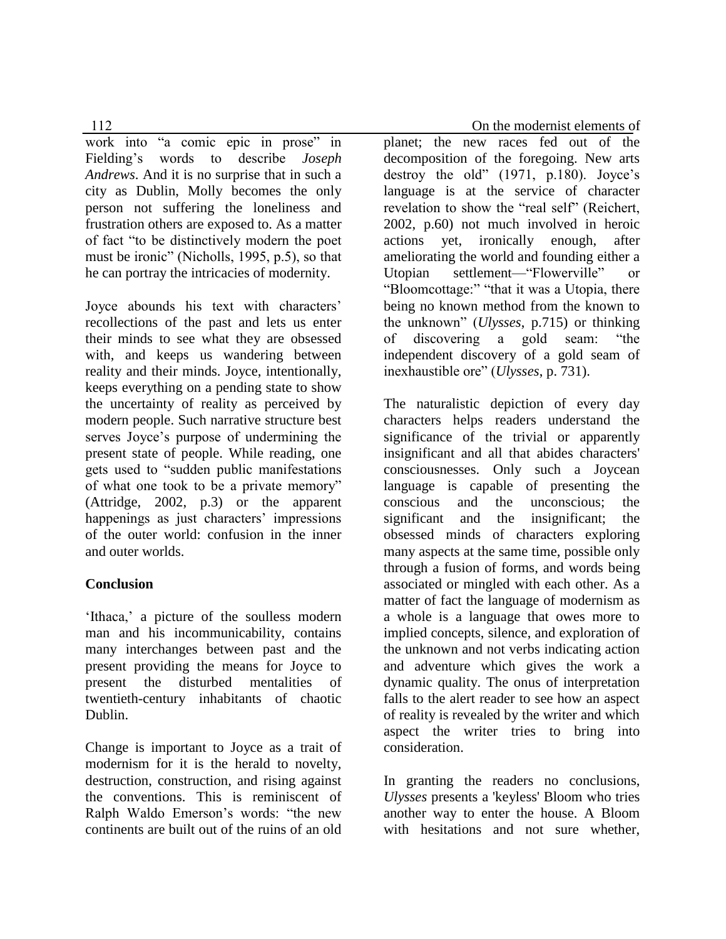work into "a comic epic in prose" in Fielding's words to describe *Joseph Andrews*. And it is no surprise that in such a city as Dublin, Molly becomes the only person not suffering the loneliness and frustration others are exposed to. As a matter of fact "to be distinctively modern the poet must be ironic" (Nicholls, 1995, p.5), so that he can portray the intricacies of modernity.

Joyce abounds his text with characters' recollections of the past and lets us enter their minds to see what they are obsessed with, and keeps us wandering between reality and their minds. Joyce, intentionally, keeps everything on a pending state to show the uncertainty of reality as perceived by modern people. Such narrative structure best serves Joyce's purpose of undermining the present state of people. While reading, one gets used to "sudden public manifestations of what one took to be a private memory" (Attridge, 2002, p.3) or the apparent happenings as just characters' impressions of the outer world: confusion in the inner and outer worlds.

# **Conclusion**

'Ithaca,' a picture of the soulless modern man and his incommunicability, contains many interchanges between past and the present providing the means for Joyce to present the disturbed mentalities of twentieth-century inhabitants of chaotic Dublin.

Change is important to Joyce as a trait of modernism for it is the herald to novelty, destruction, construction, and rising against the conventions. This is reminiscent of Ralph Waldo Emerson's words: "the new continents are built out of the ruins of an old

112 **On the modernist elements of** 

planet; the new races fed out of the decomposition of the foregoing. New arts destroy the old" (1971, p.180). Joyce's language is at the service of character revelation to show the "real self" (Reichert, 2002, p.60) not much involved in heroic actions yet, ironically enough, after ameliorating the world and founding either a Utopian settlement—"Flowerville" or "Bloomcottage:" "that it was a Utopia, there being no known method from the known to the unknown" (*Ulysses*, p.715) or thinking of discovering a gold seam: "the independent discovery of a gold seam of inexhaustible ore" (*Ulysses*, p. 731).

The naturalistic depiction of every day characters helps readers understand the significance of the trivial or apparently insignificant and all that abides characters' consciousnesses. Only such a Joycean language is capable of presenting the conscious and the unconscious; the significant and the insignificant; the obsessed minds of characters exploring many aspects at the same time, possible only through a fusion of forms, and words being associated or mingled with each other. As a matter of fact the language of modernism as a whole is a language that owes more to implied concepts, silence, and exploration of the unknown and not verbs indicating action and adventure which gives the work a dynamic quality. The onus of interpretation falls to the alert reader to see how an aspect of reality is revealed by the writer and which aspect the writer tries to bring into consideration.

In granting the readers no conclusions, *Ulysses* presents a 'keyless' Bloom who tries another way to enter the house. A Bloom with hesitations and not sure whether,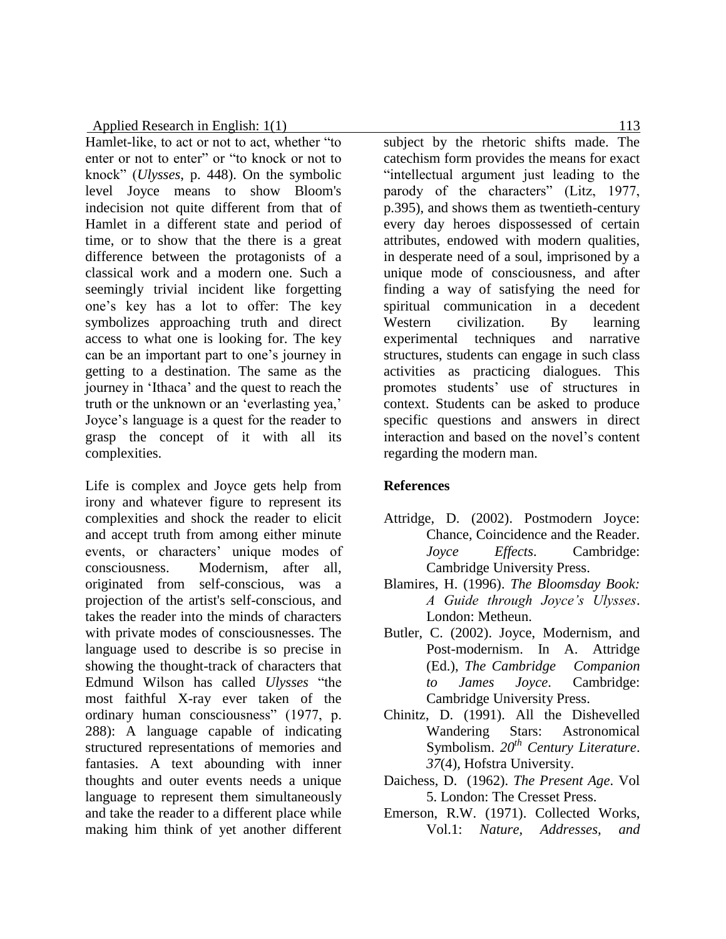Hamlet-like, to act or not to act, whether "to enter or not to enter" or "to knock or not to knock" (*Ulysses*, p. 448). On the symbolic level Joyce means to show Bloom's indecision not quite different from that of Hamlet in a different state and period of time, or to show that the there is a great difference between the protagonists of a classical work and a modern one. Such a seemingly trivial incident like forgetting one's key has a lot to offer: The key symbolizes approaching truth and direct access to what one is looking for. The key can be an important part to one's journey in getting to a destination. The same as the journey in 'Ithaca' and the quest to reach the truth or the unknown or an 'everlasting yea,' Joyce's language is a quest for the reader to grasp the concept of it with all its complexities.

Life is complex and Joyce gets help from irony and whatever figure to represent its complexities and shock the reader to elicit and accept truth from among either minute events, or characters' unique modes of consciousness. Modernism, after all, originated from self-conscious, was a projection of the artist's self-conscious, and takes the reader into the minds of characters with private modes of consciousnesses. The language used to describe is so precise in showing the thought-track of characters that Edmund Wilson has called *Ulysses* "the most faithful X-ray ever taken of the ordinary human consciousness" (1977, p. 288): A language capable of indicating structured representations of memories and fantasies. A text abounding with inner thoughts and outer events needs a unique language to represent them simultaneously and take the reader to a different place while making him think of yet another different

subject by the rhetoric shifts made. The catechism form provides the means for exact "intellectual argument just leading to the parody of the characters" (Litz, 1977, p.395), and shows them as twentieth-century every day heroes dispossessed of certain attributes, endowed with modern qualities, in desperate need of a soul, imprisoned by a unique mode of consciousness, and after finding a way of satisfying the need for spiritual communication in a decedent Western civilization. By learning experimental techniques and narrative structures, students can engage in such class activities as practicing dialogues. This promotes students' use of structures in context. Students can be asked to produce specific questions and answers in direct interaction and based on the novel's content regarding the modern man.

# **References**

- Attridge, D. (2002). Postmodern Joyce: Chance, Coincidence and the Reader. *Joyce Effects*. Cambridge: Cambridge University Press.
- Blamires, H. (1996). *The Bloomsday Book: A Guide through Joyce's Ulysses*. London: Metheun.
- Butler, C. (2002). Joyce, Modernism, and Post-modernism. In A. Attridge (Ed.), *The Cambridge Companion to James Joyce*. Cambridge: Cambridge University Press.
- Chinitz, D. (1991). All the Dishevelled Wandering Stars: Astronomical Symbolism. *20th Century Literature*. *37*(4), Hofstra University.
- Daichess, D. (1962). *The Present Age*. Vol 5. London: The Cresset Press.
- Emerson, R.W. (1971). Collected Works, Vol.1: *Nature, Addresses, and*